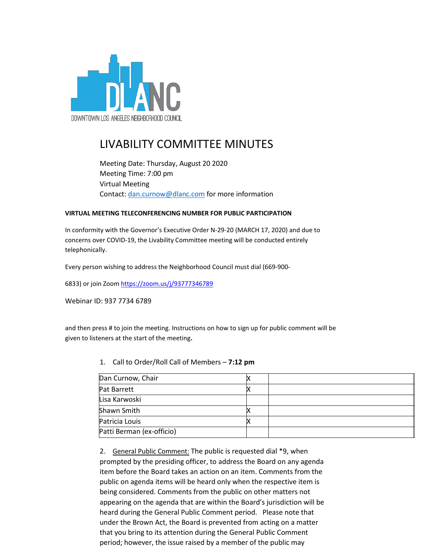

# LIVABILITY COMMITTEE MINUTES

Meeting Date: Thursday, August 20 2020 Meeting Time: 7:00 pm Virtual Meeting Contact: [dan.curnow@dlanc.com](mailto:dan.curnow@dlanc.com) for more information

#### **VIRTUAL MEETING TELECONFERENCING NUMBER FOR PUBLIC PARTICIPATION**

In conformity with the Governor's Executive Order N-29-20 (MARCH 17, 2020) and due to concerns over COVID-19, the Livability Committee meeting will be conducted entirely telephonically.

Every person wishing to address the Neighborhood Council must dial (669-900-

6833) or join Zoom https://zoom.us/j/93777346789

Webinar ID: 937 7734 6789

and then press # to join the meeting. Instructions on how to sign up for public comment will be given to listeners at the start of the meeting**.**

| Dan Curnow, Chair         |  |
|---------------------------|--|
| <b>Pat Barrett</b>        |  |
| Lisa Karwoski             |  |
| Shawn Smith               |  |
| Patricia Louis            |  |
| Patti Berman (ex-officio) |  |

1. Call to Order/Roll Call of Members – **7:12 pm**

2. General Public Comment: The public is requested dial \*9, when prompted by the presiding officer, to address the Board on any agenda item before the Board takes an action on an item. Comments from the public on agenda items will be heard only when the respective item is being considered. Comments from the public on other matters not appearing on the agenda that are within the Board's jurisdiction will be heard during the General Public Comment period. Please note that under the Brown Act, the Board is prevented from acting on a matter that you bring to its attention during the General Public Comment period; however, the issue raised by a member of the public may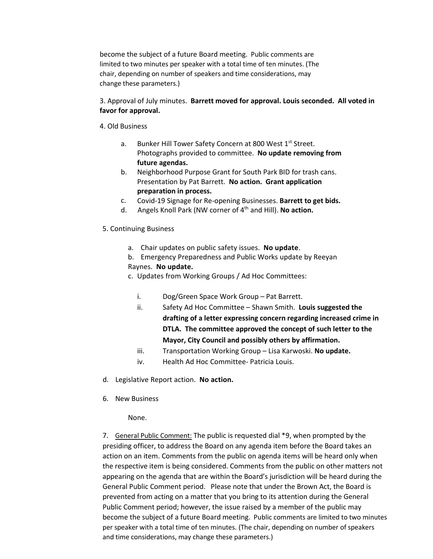become the subject of a future Board meeting. Public comments are limited to two minutes per speaker with a total time of ten minutes. (The chair, depending on number of speakers and time considerations, may change these parameters.)

# 3. Approval of July minutes. **Barrett moved for approval. Louis seconded. All voted in favor for approval.**

#### 4. Old Business

- a. Bunker Hill Tower Safety Concern at 800 West 1<sup>st</sup> Street. Photographs provided to committee. **No update removing from future agendas.**
- b. Neighborhood Purpose Grant for South Park BID for trash cans. Presentation by Pat Barrett. **No action. Grant application preparation in process.**
- c. Covid-19 Signage for Re-opening Businesses. **Barrett to get bids.**
- d. Angels Knoll Park (NW corner of 4th and Hill). **No action.**

# 5. Continuing Business

- a. Chair updates on public safety issues. **No update**.
- b. Emergency Preparedness and Public Works update by Reeyan

# Raynes. **No update.**

- c. Updates from Working Groups / Ad Hoc Committees:
	- i. Dog/Green Space Work Group Pat Barrett.
	- ii. Safety Ad Hoc Committee Shawn Smith. Louis suggested the **drafting of a letter expressing concern regarding increased crime in DTLA. The committee approved the concept of such letter to the Mayor, City Council and possibly others by affirmation.**
	- iii. Transportation Working Group Lisa Karwoski. **No update.**
	- iv. Health Ad Hoc Committee- Patricia Louis.
- d. Legislative Report action. **No action.**
- 6. New Business

# None.

7. General Public Comment: The public is requested dial \*9, when prompted by the presiding officer, to address the Board on any agenda item before the Board takes an action on an item. Comments from the public on agenda items will be heard only when the respective item is being considered. Comments from the public on other matters not appearing on the agenda that are within the Board's jurisdiction will be heard during the General Public Comment period. Please note that under the Brown Act, the Board is prevented from acting on a matter that you bring to its attention during the General Public Comment period; however, the issue raised by a member of the public may become the subject of a future Board meeting. Public comments are limited to two minutes per speaker with a total time of ten minutes. (The chair, depending on number of speakers and time considerations, may change these parameters.)